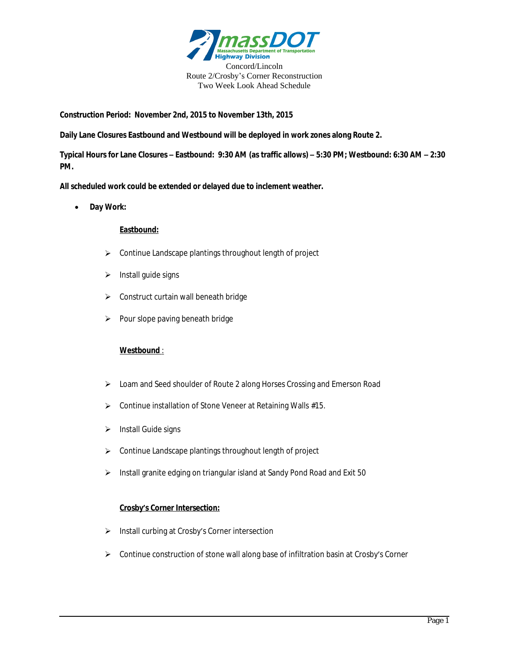

**Construction Period: November 2nd, 2015 to November 13th, 2015**

**Daily Lane Closures Eastbound and Westbound will be deployed in work zones along Route 2.**

**Typical Hours for Lane Closures – Eastbound: 9:30 AM (as traffic allows) – 5:30 PM; Westbound: 6:30 AM – 2:30 PM.**

**All scheduled work could be extended or delayed due to inclement weather.**

**Day Work:**

## **Eastbound:**

- $\triangleright$  Continue Landscape plantings throughout length of project
- $\triangleright$  Install quide signs
- $\triangleright$  Construct curtain wall beneath bridge
- $\triangleright$  Pour slope paving beneath bridge

## **Westbound** :

- Loam and Seed shoulder of Route 2 along Horses Crossing and Emerson Road
- ▶ Continue installation of Stone Veneer at Retaining Walls #15.
- $\triangleright$  Install Guide signs
- $\triangleright$  Continue Landscape plantings throughout length of project
- Install granite edging on triangular island at Sandy Pond Road and Exit 50

## **Crosby's Corner Intersection:**

- > Install curbing at Crosby's Corner intersection
- $\triangleright$  Continue construction of stone wall along base of infiltration basin at Crosby's Corner